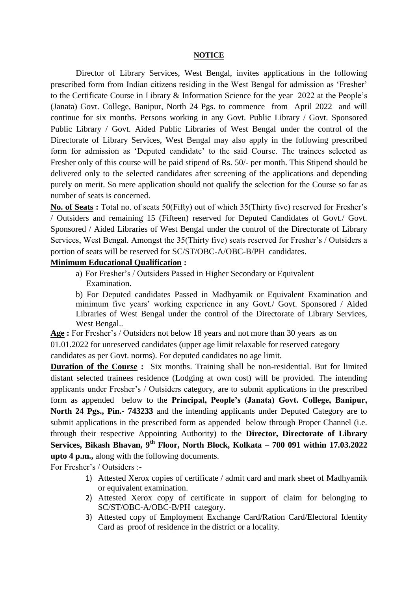## **NOTICE**

Director of Library Services, West Bengal, invites applications in the following prescribed form from Indian citizens residing in the West Bengal for admission as 'Fresher' to the Certificate Course in Library & Information Science for the year 2022 at the People's (Janata) Govt. College, Banipur, North 24 Pgs. to commence from April 2022 and will continue for six months. Persons working in any Govt. Public Library / Govt. Sponsored Public Library / Govt. Aided Public Libraries of West Bengal under the control of the Directorate of Library Services, West Bengal may also apply in the following prescribed form for admission as 'Deputed candidate' to the said Course. The trainees selected as Fresher only of this course will be paid stipend of Rs. 50/- per month. This Stipend should be delivered only to the selected candidates after screening of the applications and depending purely on merit. So mere application should not qualify the selection for the Course so far as number of seats is concerned.

**No. of Seats :** Total no. of seats 50(Fifty) out of which 35(Thirty five) reserved for Fresher's / Outsiders and remaining 15 (Fifteen) reserved for Deputed Candidates of Govt./ Govt. Sponsored / Aided Libraries of West Bengal under the control of the Directorate of Library Services, West Bengal. Amongst the 35(Thirty five) seats reserved for Fresher's / Outsiders a portion of seats will be reserved for SC/ST/OBC-A/OBC-B/PH candidates.

## **Minimum Educational Qualification :**

a) For Fresher's / Outsiders Passed in Higher Secondary or Equivalent Examination.

b) For Deputed candidates Passed in Madhyamik or Equivalent Examination and minimum five years' working experience in any Govt./ Govt. Sponsored / Aided Libraries of West Bengal under the control of the Directorate of Library Services, West Bengal..

**Age :** For Fresher's / Outsiders not below 18 years and not more than 30 years as on 01.01.2022 for unreserved candidates (upper age limit relaxable for reserved category candidates as per Govt. norms). For deputed candidates no age limit.

**Duration of the Course :** Six months. Training shall be non-residential. But for limited distant selected trainees residence (Lodging at own cost) will be provided. The intending applicants under Fresher's / Outsiders category, are to submit applications in the prescribed form as appended below to the **Principal, People's (Janata) Govt. College, Banipur, North 24 Pgs., Pin.- 743233** and the intending applicants under Deputed Category are to submit applications in the prescribed form as appended below through Proper Channel (i.e. through their respective Appointing Authority) to the **Director, Directorate of Library Services, Bikash Bhavan, 9th Floor, North Block, Kolkata – 700 091 within 17.03.2022 upto 4 p.m.,** along with the following documents.

For Fresher's / Outsiders :-

- 1) Attested Xerox copies of certificate / admit card and mark sheet of Madhyamik or equivalent examination.
- 2) Attested Xerox copy of certificate in support of claim for belonging to SC/ST/OBC-A/OBC-B/PH category.
- 3) Attested copy of Employment Exchange Card/Ration Card/Electoral Identity Card as proof of residence in the district or a locality.